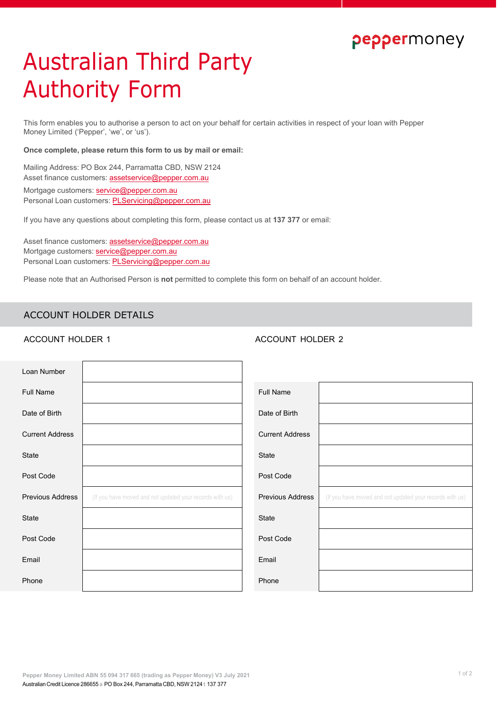## peppermoney

# Australian Third Party Authority Form

This form enables you to authorise a person to act on your behalf for certain activities in respect of your loan with Pepper Money Limited ('Pepper', 'we', or 'us').

### **Once complete, please return this form to us by mail or email:**

Mailing Address: PO Box 244, Parramatta CBD, NSW 2124 Asset finance customers: [assetservice@pepper.com.au](mailto:assetservice@pepper.com.au) Mortgage customers: [service@pepper.com.au](mailto:service@pepper.com.au) Personal Loan customers: [PLServicing@pepper.com.au](mailto:PLServicing@pepper.com.au)

If you have any questions about completing this form, please contact us at **137 377** or email:

Asset finance customers: [assetservice@pepper.com.au](mailto:assetservice@pepper.com.au) Mortgage customers: [service@pepper.com.au](mailto:service@pepper.com.au) Personal Loan customers: [PLServicing@pepper.com.au](mailto:PLServicing@pepper.com.au)

Please note that an Authorised Person is **not** permitted to complete this form on behalf of an account holder.

### ACCOUNT HOLDER DETAILS

### ACCOUNT HOLDER 1 ACCOUNT HOLDER 2

| Loan Number             |                                                          |                         |                                                          |
|-------------------------|----------------------------------------------------------|-------------------------|----------------------------------------------------------|
| <b>Full Name</b>        |                                                          | <b>Full Name</b>        |                                                          |
| Date of Birth           |                                                          | Date of Birth           |                                                          |
| <b>Current Address</b>  |                                                          | <b>Current Address</b>  |                                                          |
| State                   |                                                          | State                   |                                                          |
| Post Code               |                                                          | Post Code               |                                                          |
| <b>Previous Address</b> | (If you have moved and not updated your records with us) | <b>Previous Address</b> | (If you have moved and not updated your records with us) |
| State                   |                                                          | <b>State</b>            |                                                          |
| Post Code               |                                                          | Post Code               |                                                          |
| Email                   |                                                          | Email                   |                                                          |
| Phone                   |                                                          | Phone                   |                                                          |